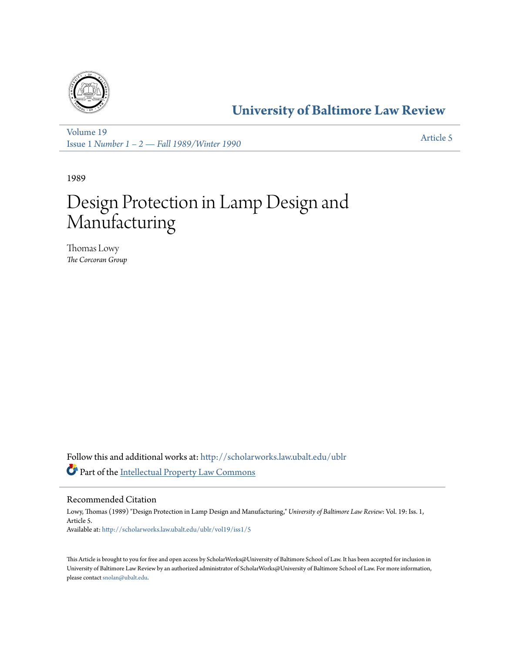

# **[University of Baltimore Law Review](http://scholarworks.law.ubalt.edu/ublr?utm_source=scholarworks.law.ubalt.edu%2Fublr%2Fvol19%2Fiss1%2F5&utm_medium=PDF&utm_campaign=PDFCoverPages)**

[Volume 19](http://scholarworks.law.ubalt.edu/ublr/vol19?utm_source=scholarworks.law.ubalt.edu%2Fublr%2Fvol19%2Fiss1%2F5&utm_medium=PDF&utm_campaign=PDFCoverPages) Issue 1 *[Number 1 – 2 — Fall 1989/Winter 1990](http://scholarworks.law.ubalt.edu/ublr/vol19/iss1?utm_source=scholarworks.law.ubalt.edu%2Fublr%2Fvol19%2Fiss1%2F5&utm_medium=PDF&utm_campaign=PDFCoverPages)* [Article 5](http://scholarworks.law.ubalt.edu/ublr/vol19/iss1/5?utm_source=scholarworks.law.ubalt.edu%2Fublr%2Fvol19%2Fiss1%2F5&utm_medium=PDF&utm_campaign=PDFCoverPages)

1989

# Design Protection in Lamp Design and Manufacturing

Thomas Lowy *The Corcoran Group*

Follow this and additional works at: [http://scholarworks.law.ubalt.edu/ublr](http://scholarworks.law.ubalt.edu/ublr?utm_source=scholarworks.law.ubalt.edu%2Fublr%2Fvol19%2Fiss1%2F5&utm_medium=PDF&utm_campaign=PDFCoverPages) Part of the [Intellectual Property Law Commons](http://network.bepress.com/hgg/discipline/896?utm_source=scholarworks.law.ubalt.edu%2Fublr%2Fvol19%2Fiss1%2F5&utm_medium=PDF&utm_campaign=PDFCoverPages)

## Recommended Citation

Lowy, Thomas (1989) "Design Protection in Lamp Design and Manufacturing," *University of Baltimore Law Review*: Vol. 19: Iss. 1, Article 5. Available at: [http://scholarworks.law.ubalt.edu/ublr/vol19/iss1/5](http://scholarworks.law.ubalt.edu/ublr/vol19/iss1/5?utm_source=scholarworks.law.ubalt.edu%2Fublr%2Fvol19%2Fiss1%2F5&utm_medium=PDF&utm_campaign=PDFCoverPages)

This Article is brought to you for free and open access by ScholarWorks@University of Baltimore School of Law. It has been accepted for inclusion in University of Baltimore Law Review by an authorized administrator of ScholarWorks@University of Baltimore School of Law. For more information, please contact [snolan@ubalt.edu.](mailto:snolan@ubalt.edu)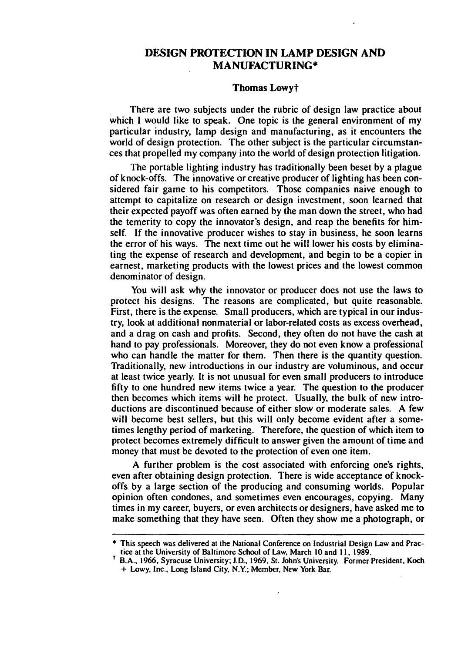### DESIGN PROTECTION IN LAMP DESIGN AND MANUFACTURING\*

#### Thomas Lowyt

There are two subjects under the rubric of design law practice about which I would like to speak. One topic is the general environment of my particular industry, lamp design and manufacturing, as it encounters the world of design protection. The other subject is the particular circumstances that propelled my company into the world of design protection litigation.

The portable lighting industry has traditionally been beset by a plague of knock-offs. The innovative or creative producer of lighting has been considered fair game to his competitors. Those companies naive enough to attempt to capitalize on research or design investment, soon learned that their expected payoff was often earned by the man down the street, who had the temerity to copy the innovator's design, and reap the benefits for himself. If the innovative producer wishes to stay in business, he soon learns the error of his ways. The next time out he will lower his costs by eliminating the expense of research and development, and begin to be a copier in earnest, marketing products with the lowest prices and the lowest common denominator of design.

You will ask why the innovator or producer does not use the laws to protect his designs. The reasons are complicated, but quite reasonable. First, there is the expense. Small producers, which are typical in our industry, look at additional nonmaterial or labor-related costs as excess overhead, and a drag on cash and profits. Second, they often do not have the cash at hand to pay professionals. Moreover, they do not even know a professional who can handle the matter for them. Then there is the quantity question. Traditionally, new introductions in our industry are voluminous, and occur at least twice yearly. It is not unusual for even small producers to introduce fifty to one hundred new items twice a year. The question to the producer then becomes which items will he protect. Usually, the bulk of new introductions are discontinued because of either slow or moderate sales. A few will become best sellers, but this will only become evident after a sometimes lengthy period of marketing. Therefore, the question of which item to protect becomes extremely difficult to answer given the amount of time and money that must be devoted to the protection of even one item.

A further problem is the cost associated with enforcing one's rights, even after obtaining design protection. There is wide acceptance of knockoffs by a large section of the producing and consuming worlds. Popular opinion often condones, and sometimes even encourages, copying. Many times in my career, buyers, or even architects or designers, have asked me to make something that they have seen. Often they show me a photograph, or

<sup>•</sup> This speech was delivered at the National Conference on Industrial Design Law and Practice at the University of Baltimore School of Law, March 10 and II, 1989.

t B.A., 1966, Syracuse University; J.D., 1969, SI. John's University. Former President, Koch + Lowy, Inc., Long Island City, N.Y.; Member, New York Bar.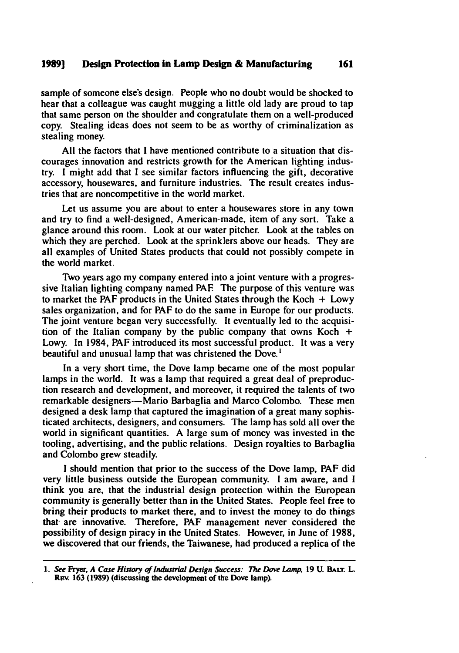#### 1989] Design Protection in Lamp Design & Manufacturing 161

sample of someone else's design. People who no doubt would be shocked to hear that a colleague was caught mugging a little old lady are proud to tap that same person on the shoulder and congratulate them on a well-produced copy. Stealing ideas does not seem to be as worthy of criminalization as stealing money.

All the factors that I have mentioned contribute to a situation that discourages innovation and restricts growth for the American lighting industry. I might add that I see similar factors influencing the gift, decorative accessory, housewares, and furniture industries. The result creates industries that are noncompetitive in the world market.

Let us assume you are about to enter a housewares store in any town and try to find a well-designed, American-made, item of any sort. Take a glance around this room. Look at our water pitcher. Look at the tables on which they are perched. Look at the sprinklers above our heads. They are all examples of United States products that could not possibly compete in the world market.

Two years ago my company entered into a joint venture with a progressive Italian lighting company named PAF. The purpose of this venture was to market the PAF products in the United States through the Koch  $+$  Lowy sales organization, and for PAF to do the same in Europe for our products. The joint venture began very successfully. It eventually led to the acquisition of the Italian company by the public company that owns Koch  $+$ Lowy. In 1984, PAF introduced its most successful product. It was a very beautiful and unusual lamp that was christened the Dove.<sup>1</sup>

In a very short time, the Dove lamp became one of the most popular lamps in the world. It was a lamp that required a great deal of preproduction research and development, and moreover, it required the talents of two remarkable designers—Mario Barbaglia and Marco Colombo. These men designed a desk lamp that captured the imagination of a great many sophisticated architects, designers, and consumers. The lamp has sold all over the world in significant quantities. A large sum of money was invested in the tooling, advertising, and the public relations. Design royalties to Barbaglia and Colombo grew steadily.

I should mention that prior to the success of the Dove lamp. PAF did very little business outside the European community. I am aware, and I think you are, that the industrial design protection within the European community is generally better than in the United States. People feel free to bring their products to market there, and to invest the money to do things that are innovative. Therefore, PAF management never considered the possibility of design piracy in the United States. However, in June of 1988. we discovered that our friends, the Taiwanese, had produced a replica of the

<sup>1.</sup> See Fryer, A Case History of Industrial Design Success: The Dove Lamp, 19 U. BALT. L. REv. 163 (1989) (discussing the development of the Dove lamp).